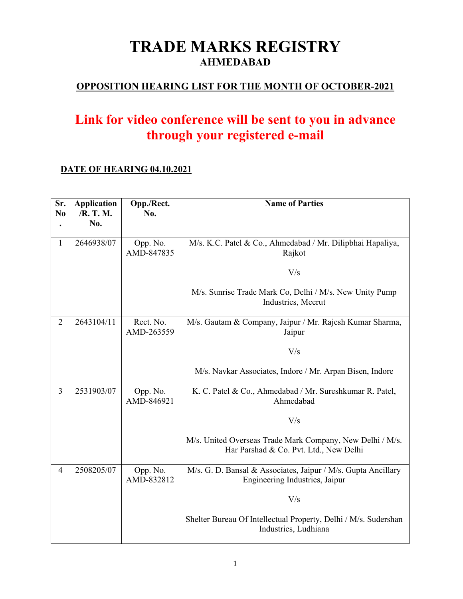### **TRADE MARKS REGISTRY AHMEDABAD**

### **OPPOSITION HEARING LIST FOR THE MONTH OF OCTOBER-2021**

## **Link for video conference will be sent to you in advance through your registered e-mail**

#### **DATE OF HEARING 04.10.2021**

| Sr.<br>N <sub>0</sub> | <b>Application</b><br>/R. T. M.<br>No. | Opp./Rect.<br>No.       | <b>Name of Parties</b>                                                                              |
|-----------------------|----------------------------------------|-------------------------|-----------------------------------------------------------------------------------------------------|
| 1                     | 2646938/07                             | Opp. No.<br>AMD-847835  | M/s. K.C. Patel & Co., Ahmedabad / Mr. Dilipbhai Hapaliya,<br>Rajkot                                |
|                       |                                        |                         | V/s                                                                                                 |
|                       |                                        |                         | M/s. Sunrise Trade Mark Co, Delhi / M/s. New Unity Pump<br>Industries, Meerut                       |
| $\overline{2}$        | 2643104/11                             | Rect. No.<br>AMD-263559 | M/s. Gautam & Company, Jaipur / Mr. Rajesh Kumar Sharma,<br>Jaipur                                  |
|                       |                                        |                         | V/s                                                                                                 |
|                       |                                        |                         | M/s. Navkar Associates, Indore / Mr. Arpan Bisen, Indore                                            |
| $\overline{3}$        | 2531903/07                             | Opp. No.<br>AMD-846921  | K. C. Patel & Co., Ahmedabad / Mr. Sureshkumar R. Patel,<br>Ahmedabad                               |
|                       |                                        |                         | V/s                                                                                                 |
|                       |                                        |                         | M/s. United Overseas Trade Mark Company, New Delhi / M/s.<br>Har Parshad & Co. Pvt. Ltd., New Delhi |
| $\overline{4}$        | 2508205/07                             | Opp. No.<br>AMD-832812  | M/s. G. D. Bansal & Associates, Jaipur / M/s. Gupta Ancillary<br>Engineering Industries, Jaipur     |
|                       |                                        |                         | V/s                                                                                                 |
|                       |                                        |                         | Shelter Bureau Of Intellectual Property, Delhi / M/s. Sudershan<br>Industries, Ludhiana             |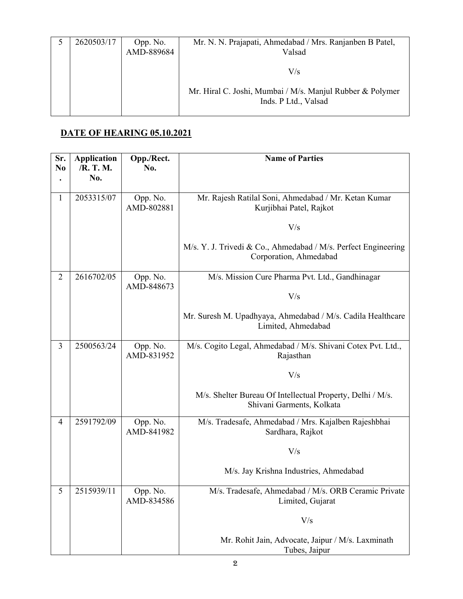| 2620503/17 | Opp. No.<br>AMD-889684 | Mr. N. N. Prajapati, Ahmedabad / Mrs. Ranjanben B Patel,<br>Valsad                |
|------------|------------------------|-----------------------------------------------------------------------------------|
|            |                        | V/s                                                                               |
|            |                        | Mr. Hiral C. Joshi, Mumbai / M/s. Manjul Rubber & Polymer<br>Inds. P Ltd., Valsad |

#### **DATE OF HEARING 05.10.2021**

| Sr.<br>N <sub>0</sub> | <b>Application</b><br>/R. T. M. | Opp./Rect.<br>No.      | <b>Name of Parties</b>                                                                   |
|-----------------------|---------------------------------|------------------------|------------------------------------------------------------------------------------------|
|                       | No.                             |                        |                                                                                          |
| 1                     | 2053315/07                      | Opp. No.<br>AMD-802881 | Mr. Rajesh Ratilal Soni, Ahmedabad / Mr. Ketan Kumar<br>Kurjibhai Patel, Rajkot          |
|                       |                                 |                        | V/s                                                                                      |
|                       |                                 |                        | M/s. Y. J. Trivedi & Co., Ahmedabad / M/s. Perfect Engineering<br>Corporation, Ahmedabad |
| $\overline{2}$        | 2616702/05                      | Opp. No.<br>AMD-848673 | M/s. Mission Cure Pharma Pvt. Ltd., Gandhinagar                                          |
|                       |                                 |                        | V/s                                                                                      |
|                       |                                 |                        | Mr. Suresh M. Upadhyaya, Ahmedabad / M/s. Cadila Healthcare<br>Limited, Ahmedabad        |
| 3                     | 2500563/24                      | Opp. No.<br>AMD-831952 | M/s. Cogito Legal, Ahmedabad / M/s. Shivani Cotex Pvt. Ltd.,<br>Rajasthan                |
|                       |                                 |                        | V/s                                                                                      |
|                       |                                 |                        | M/s. Shelter Bureau Of Intellectual Property, Delhi / M/s.<br>Shivani Garments, Kolkata  |
| 4                     | 2591792/09                      | Opp. No.<br>AMD-841982 | M/s. Tradesafe, Ahmedabad / Mrs. Kajalben Rajeshbhai<br>Sardhara, Rajkot                 |
|                       |                                 |                        | V/s                                                                                      |
|                       |                                 |                        | M/s. Jay Krishna Industries, Ahmedabad                                                   |
| 5                     | 2515939/11                      | Opp. No.<br>AMD-834586 | M/s. Tradesafe, Ahmedabad / M/s. ORB Ceramic Private<br>Limited, Gujarat                 |
|                       |                                 |                        | V/s                                                                                      |
|                       |                                 |                        | Mr. Rohit Jain, Advocate, Jaipur / M/s. Laxminath<br>Tubes, Jaipur                       |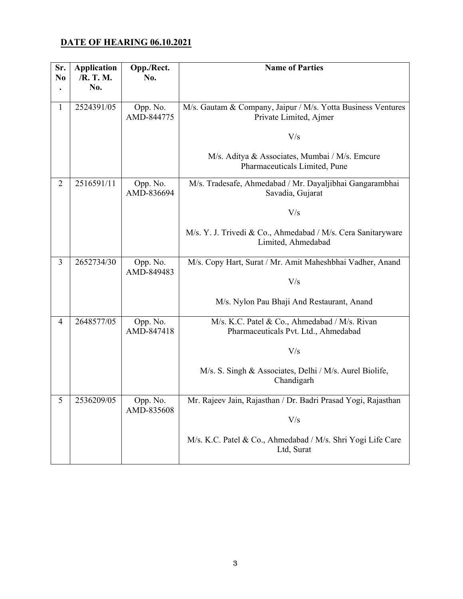#### **DATE OF HEARING 06.10.2021**

| Sr.<br>N <sub>0</sub> | <b>Application</b><br>/R. T. M.<br>No. | Opp./Rect.<br>No.      | <b>Name of Parties</b>                                                                 |
|-----------------------|----------------------------------------|------------------------|----------------------------------------------------------------------------------------|
| $\mathbf{1}$          | 2524391/05                             | Opp. No.<br>AMD-844775 | M/s. Gautam & Company, Jaipur / M/s. Yotta Business Ventures<br>Private Limited, Ajmer |
|                       |                                        |                        | V/s                                                                                    |
|                       |                                        |                        | M/s. Aditya & Associates, Mumbai / M/s. Emcure<br>Pharmaceuticals Limited, Pune        |
| $\overline{2}$        | 2516591/11                             | Opp. No.<br>AMD-836694 | M/s. Tradesafe, Ahmedabad / Mr. Dayaljibhai Gangarambhai<br>Savadia, Gujarat           |
|                       |                                        |                        | V/s                                                                                    |
|                       |                                        |                        | M/s. Y. J. Trivedi & Co., Ahmedabad / M/s. Cera Sanitaryware<br>Limited, Ahmedabad     |
| 3                     | 2652734/30                             | Opp. No.<br>AMD-849483 | M/s. Copy Hart, Surat / Mr. Amit Maheshbhai Vadher, Anand                              |
|                       |                                        |                        | V/s                                                                                    |
|                       |                                        |                        | M/s. Nylon Pau Bhaji And Restaurant, Anand                                             |
| 4                     | 2648577/05                             | Opp. No.<br>AMD-847418 | M/s. K.C. Patel & Co., Ahmedabad / M/s. Rivan<br>Pharmaceuticals Pvt. Ltd., Ahmedabad  |
|                       |                                        |                        | V/s                                                                                    |
|                       |                                        |                        | M/s. S. Singh & Associates, Delhi / M/s. Aurel Biolife,<br>Chandigarh                  |
| 5                     | 2536209/05                             | Opp. No.<br>AMD-835608 | Mr. Rajeev Jain, Rajasthan / Dr. Badri Prasad Yogi, Rajasthan                          |
|                       |                                        |                        | V/s                                                                                    |
|                       |                                        |                        | M/s. K.C. Patel & Co., Ahmedabad / M/s. Shri Yogi Life Care<br>Ltd, Surat              |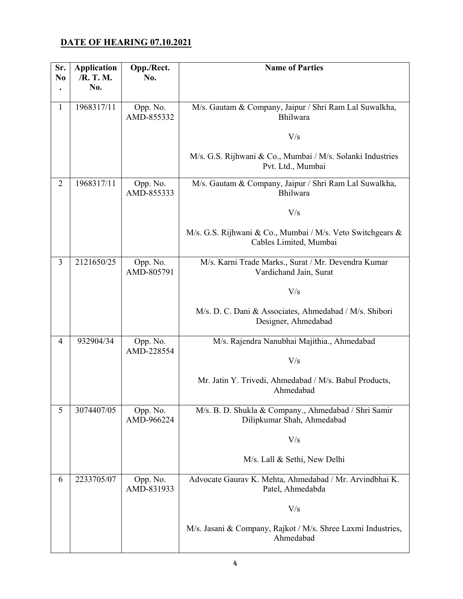#### **DATE OF HEARING 07.10.2021**

| Sr.<br>N <sub>0</sub> | <b>Application</b><br>/R. T. M. | Opp./Rect.<br>No.      | <b>Name of Parties</b>                                                               |
|-----------------------|---------------------------------|------------------------|--------------------------------------------------------------------------------------|
|                       | No.                             |                        |                                                                                      |
| $\mathbf{1}$          | 1968317/11                      | Opp. No.<br>AMD-855332 | M/s. Gautam & Company, Jaipur / Shri Ram Lal Suwalkha,<br>Bhilwara                   |
|                       |                                 |                        | V/s                                                                                  |
|                       |                                 |                        | M/s. G.S. Rijhwani & Co., Mumbai / M/s. Solanki Industries<br>Pvt. Ltd., Mumbai      |
| $\overline{2}$        | 1968317/11                      | Opp. No.<br>AMD-855333 | M/s. Gautam & Company, Jaipur / Shri Ram Lal Suwalkha,<br>Bhilwara                   |
|                       |                                 |                        | V/s                                                                                  |
|                       |                                 |                        | M/s. G.S. Rijhwani & Co., Mumbai / M/s. Veto Switchgears &<br>Cables Limited, Mumbai |
| 3                     | 2121650/25                      | Opp. No.<br>AMD-805791 | M/s. Karni Trade Marks., Surat / Mr. Devendra Kumar<br>Vardichand Jain, Surat        |
|                       |                                 |                        | V/s                                                                                  |
|                       |                                 |                        | M/s. D. C. Dani & Associates, Ahmedabad / M/s. Shibori<br>Designer, Ahmedabad        |
| $\overline{4}$        | 932904/34                       | Opp. No.<br>AMD-228554 | M/s. Rajendra Nanubhai Majithia., Ahmedabad                                          |
|                       |                                 |                        | V/s                                                                                  |
|                       |                                 |                        | Mr. Jatin Y. Trivedi, Ahmedabad / M/s. Babul Products,<br>Ahmedabad                  |
| 5                     | 3074407/05                      | Opp. No.<br>AMD-966224 | M/s. B. D. Shukla & Company., Ahmedabad / Shri Samir<br>Dilipkumar Shah, Ahmedabad   |
|                       |                                 |                        | V/s                                                                                  |
|                       |                                 |                        | M/s. Lall & Sethi, New Delhi                                                         |
| 6                     | 2233705/07                      | Opp. No.<br>AMD-831933 | Advocate Gaurav K. Mehta, Ahmedabad / Mr. Arvindbhai K.<br>Patel, Ahmedabda          |
|                       |                                 |                        | V/s                                                                                  |
|                       |                                 |                        | M/s. Jasani & Company, Rajkot / M/s. Shree Laxmi Industries,<br>Ahmedabad            |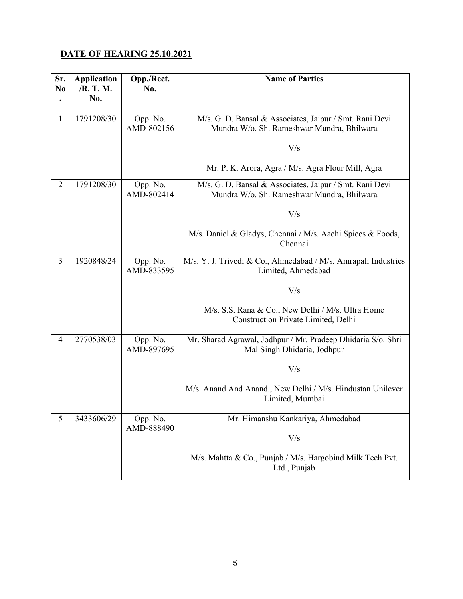#### **DATE OF HEARING 25.10.2021**

| Sr.<br>N <sub>0</sub> | <b>Application</b><br>/R. T. M.<br>No. | Opp./Rect.<br>No.      | <b>Name of Parties</b>                                                                                       |
|-----------------------|----------------------------------------|------------------------|--------------------------------------------------------------------------------------------------------------|
| $\mathbf{1}$          | 1791208/30                             | Opp. No.<br>AMD-802156 | M/s. G. D. Bansal & Associates, Jaipur / Smt. Rani Devi<br>Mundra W/o. Sh. Rameshwar Mundra, Bhilwara<br>V/s |
|                       |                                        |                        | Mr. P. K. Arora, Agra / M/s. Agra Flour Mill, Agra                                                           |
| $\overline{2}$        | 1791208/30                             | Opp. No.<br>AMD-802414 | M/s. G. D. Bansal & Associates, Jaipur / Smt. Rani Devi<br>Mundra W/o. Sh. Rameshwar Mundra, Bhilwara        |
|                       |                                        |                        | V/s                                                                                                          |
|                       |                                        |                        | M/s. Daniel & Gladys, Chennai / M/s. Aachi Spices & Foods,<br>Chennai                                        |
| 3                     | 1920848/24                             | Opp. No.<br>AMD-833595 | M/s. Y. J. Trivedi & Co., Ahmedabad / M/s. Amrapali Industries<br>Limited, Ahmedabad                         |
|                       |                                        |                        | V/s                                                                                                          |
|                       |                                        |                        | M/s. S.S. Rana & Co., New Delhi / M/s. Ultra Home<br>Construction Private Limited, Delhi                     |
| 4                     | 2770538/03                             | Opp. No.<br>AMD-897695 | Mr. Sharad Agrawal, Jodhpur / Mr. Pradeep Dhidaria S/o. Shri<br>Mal Singh Dhidaria, Jodhpur                  |
|                       |                                        |                        | V/s                                                                                                          |
|                       |                                        |                        | M/s. Anand And Anand., New Delhi / M/s. Hindustan Unilever<br>Limited, Mumbai                                |
| 5                     | 3433606/29                             | Opp. No.<br>AMD-888490 | Mr. Himanshu Kankariya, Ahmedabad                                                                            |
|                       |                                        |                        | V/s                                                                                                          |
|                       |                                        |                        | M/s. Mahtta & Co., Punjab / M/s. Hargobind Milk Tech Pvt.<br>Ltd., Punjab                                    |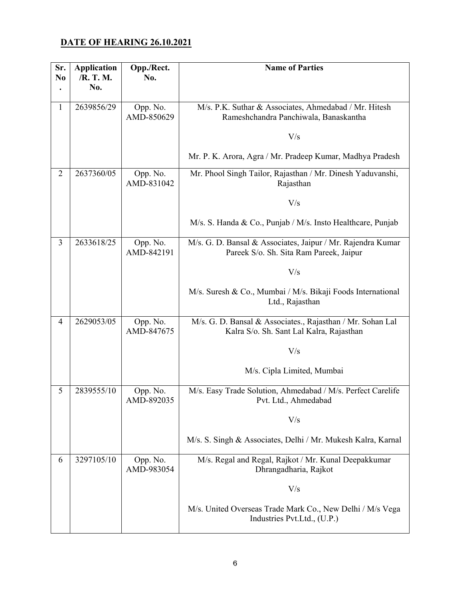#### **DATE OF HEARING 26.10.2021**

| Sr.<br>N <sub>0</sub> | <b>Application</b><br>/R. T. M. | Opp./Rect.<br>No.      | <b>Name of Parties</b>                                                                                 |
|-----------------------|---------------------------------|------------------------|--------------------------------------------------------------------------------------------------------|
|                       | No.                             |                        |                                                                                                        |
|                       |                                 |                        |                                                                                                        |
| $\mathbf{1}$          | 2639856/29                      | Opp. No.<br>AMD-850629 | M/s. P.K. Suthar & Associates, Ahmedabad / Mr. Hitesh<br>Rameshchandra Panchiwala, Banaskantha         |
|                       |                                 |                        | V/s                                                                                                    |
|                       |                                 |                        | Mr. P. K. Arora, Agra / Mr. Pradeep Kumar, Madhya Pradesh                                              |
| $\overline{2}$        | 2637360/05                      | Opp. No.<br>AMD-831042 | Mr. Phool Singh Tailor, Rajasthan / Mr. Dinesh Yaduvanshi,<br>Rajasthan                                |
|                       |                                 |                        | V/s                                                                                                    |
|                       |                                 |                        | M/s. S. Handa & Co., Punjab / M/s. Insto Healthcare, Punjab                                            |
| 3                     | 2633618/25                      | Opp. No.<br>AMD-842191 | M/s. G. D. Bansal & Associates, Jaipur / Mr. Rajendra Kumar<br>Pareek S/o. Sh. Sita Ram Pareek, Jaipur |
|                       |                                 |                        | V/s                                                                                                    |
|                       |                                 |                        | M/s. Suresh & Co., Mumbai / M/s. Bikaji Foods International<br>Ltd., Rajasthan                         |
| 4                     | 2629053/05                      | Opp. No.<br>AMD-847675 | M/s. G. D. Bansal & Associates., Rajasthan / Mr. Sohan Lal<br>Kalra S/o. Sh. Sant Lal Kalra, Rajasthan |
|                       |                                 |                        | V/s                                                                                                    |
|                       |                                 |                        | M/s. Cipla Limited, Mumbai                                                                             |
| 5                     | 2839555/10                      | Opp. No.<br>AMD-892035 | M/s. Easy Trade Solution, Ahmedabad / M/s. Perfect Carelife<br>Pvt. Ltd., Ahmedabad                    |
|                       |                                 |                        | V/s                                                                                                    |
|                       |                                 |                        | M/s. S. Singh & Associates, Delhi / Mr. Mukesh Kalra, Karnal                                           |
| 6                     | 3297105/10                      | Opp. No.<br>AMD-983054 | M/s. Regal and Regal, Rajkot / Mr. Kunal Deepakkumar<br>Dhrangadharia, Rajkot                          |
|                       |                                 |                        | V/s                                                                                                    |
|                       |                                 |                        | M/s. United Overseas Trade Mark Co., New Delhi / M/s Vega<br>Industries Pvt.Ltd., (U.P.)               |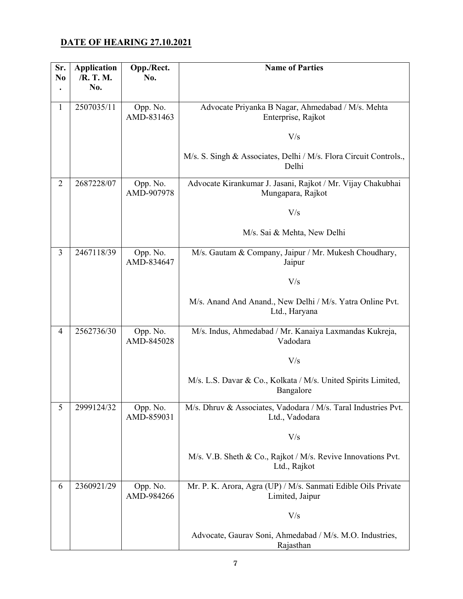#### **DATE OF HEARING 27.10.2021**

| Sr.<br>N <sub>0</sub> | <b>Application</b><br>/R. T. M. | Opp./Rect.<br>No.      | <b>Name of Parties</b>                                                           |
|-----------------------|---------------------------------|------------------------|----------------------------------------------------------------------------------|
|                       | No.                             |                        |                                                                                  |
|                       | 2507035/11                      |                        |                                                                                  |
| $\mathbf{1}$          |                                 | Opp. No.<br>AMD-831463 | Advocate Priyanka B Nagar, Ahmedabad / M/s. Mehta<br>Enterprise, Rajkot          |
|                       |                                 |                        | V/s                                                                              |
|                       |                                 |                        | M/s. S. Singh & Associates, Delhi / M/s. Flora Circuit Controls.,<br>Delhi       |
| $\overline{2}$        | 2687228/07                      | Opp. No.<br>AMD-907978 | Advocate Kirankumar J. Jasani, Rajkot / Mr. Vijay Chakubhai<br>Mungapara, Rajkot |
|                       |                                 |                        | V/s                                                                              |
|                       |                                 |                        | M/s. Sai & Mehta, New Delhi                                                      |
| 3                     | 2467118/39                      | Opp. No.<br>AMD-834647 | M/s. Gautam & Company, Jaipur / Mr. Mukesh Choudhary,<br>Jaipur                  |
|                       |                                 |                        | V/s                                                                              |
|                       |                                 |                        | M/s. Anand And Anand., New Delhi / M/s. Yatra Online Pvt.<br>Ltd., Haryana       |
| $\overline{4}$        | 2562736/30                      | Opp. No.<br>AMD-845028 | M/s. Indus, Ahmedabad / Mr. Kanaiya Laxmandas Kukreja,<br>Vadodara               |
|                       |                                 |                        | V/s                                                                              |
|                       |                                 |                        | M/s. L.S. Davar & Co., Kolkata / M/s. United Spirits Limited,<br>Bangalore       |
| 5                     | 2999124/32                      | Opp. No.<br>AMD-859031 | M/s. Dhruv & Associates, Vadodara / M/s. Taral Industries Pvt.<br>Ltd., Vadodara |
|                       |                                 |                        | V/s                                                                              |
|                       |                                 |                        | M/s. V.B. Sheth & Co., Rajkot / M/s. Revive Innovations Pvt.<br>Ltd., Rajkot     |
| 6                     | 2360921/29                      | Opp. No.<br>AMD-984266 | Mr. P. K. Arora, Agra (UP) / M/s. Sanmati Edible Oils Private<br>Limited, Jaipur |
|                       |                                 |                        | V/s                                                                              |
|                       |                                 |                        | Advocate, Gaurav Soni, Ahmedabad / M/s. M.O. Industries,<br>Rajasthan            |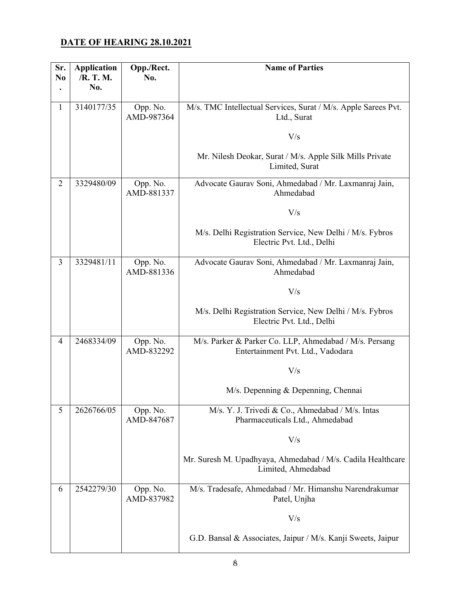#### **DATE OF HEARING 28.10.2021**

| Sr.<br>N <sub>0</sub> | <b>Application</b><br>/R. T. M. | Opp./Rect.<br>No.      | <b>Name of Parties</b>                                                                      |
|-----------------------|---------------------------------|------------------------|---------------------------------------------------------------------------------------------|
|                       | No.                             |                        |                                                                                             |
| $\mathbf{1}$          | 3140177/35                      | Opp. No.<br>AMD-987364 | M/s. TMC Intellectual Services, Surat / M/s. Apple Sarees Pvt.<br>Ltd., Surat               |
|                       |                                 |                        | V/s                                                                                         |
|                       |                                 |                        | Mr. Nilesh Deokar, Surat / M/s. Apple Silk Mills Private<br>Limited, Surat                  |
| $\overline{2}$        | 3329480/09                      | Opp. No.<br>AMD-881337 | Advocate Gaurav Soni, Ahmedabad / Mr. Laxmanraj Jain,<br>Ahmedabad                          |
|                       |                                 |                        | V/s                                                                                         |
|                       |                                 |                        | M/s. Delhi Registration Service, New Delhi / M/s. Fybros<br>Electric Pvt. Ltd., Delhi       |
| 3                     | 3329481/11                      | Opp. No.<br>AMD-881336 | Advocate Gaurav Soni, Ahmedabad / Mr. Laxmanraj Jain,<br>Ahmedabad                          |
|                       |                                 |                        | V/s                                                                                         |
|                       |                                 |                        | M/s. Delhi Registration Service, New Delhi / M/s. Fybros<br>Electric Pvt. Ltd., Delhi       |
| $\overline{4}$        | 2468334/09                      | Opp. No.<br>AMD-832292 | M/s. Parker & Parker Co. LLP, Ahmedabad / M/s. Persang<br>Entertainment Pvt. Ltd., Vadodara |
|                       |                                 |                        | V/s                                                                                         |
|                       |                                 |                        | M/s. Depenning & Depenning, Chennai                                                         |
| 5                     | 2626766/05                      | Opp. No.<br>AMD-847687 | M/s. Y. J. Trivedi & Co., Ahmedabad / M/s. Intas<br>Pharmaceuticals Ltd., Ahmedabad         |
|                       |                                 |                        | V/s                                                                                         |
|                       |                                 |                        | Mr. Suresh M. Upadhyaya, Ahmedabad / M/s. Cadila Healthcare<br>Limited, Ahmedabad           |
| 6                     | 2542279/30                      | Opp. No.<br>AMD-837982 | M/s. Tradesafe, Ahmedabad / Mr. Himanshu Narendrakumar<br>Patel, Unjha                      |
|                       |                                 |                        | V/s                                                                                         |
|                       |                                 |                        | G.D. Bansal & Associates, Jaipur / M/s. Kanji Sweets, Jaipur                                |